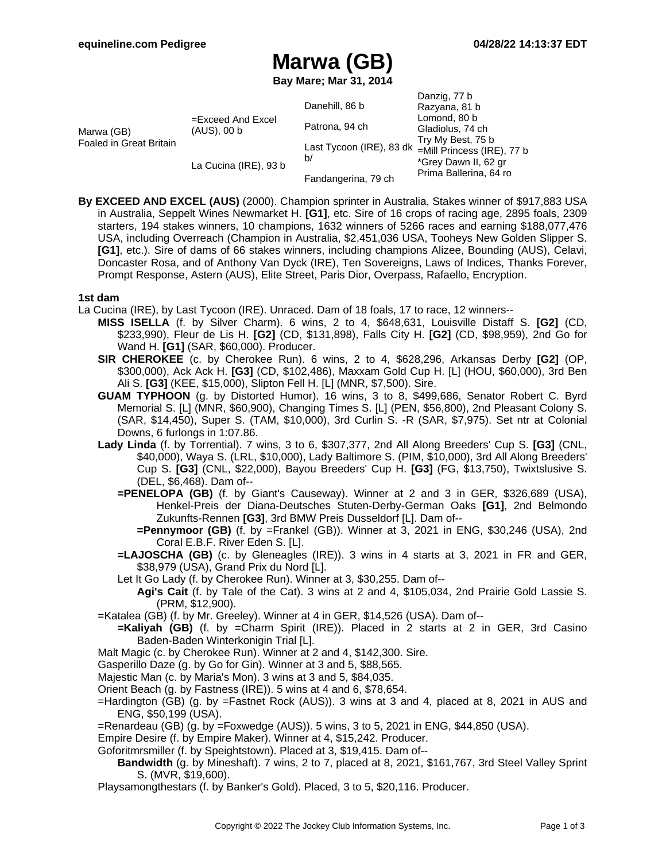Danzig, 77 h

# **Marwa (GB)**

**Bay Mare; Mar 31, 2014**

|                                       |                                     |                                                           | Danziy, <i>11</i> D    |
|---------------------------------------|-------------------------------------|-----------------------------------------------------------|------------------------|
| Marwa (GB)<br>Foaled in Great Britain | $=$ Exceed And Excel<br>(AUS), 00 b | Danehill, 86 b                                            | Razyana, 81 b          |
|                                       |                                     | Patrona, 94 ch                                            | Lomond, 80 b           |
|                                       |                                     |                                                           | Gladiolus, 74 ch       |
|                                       |                                     | Last Tycoon (IRE), 83 dk =Mill Princess (IRE), 77 b<br>b/ | Try My Best, 75 b      |
|                                       | La Cucina (IRE), 93 b               |                                                           |                        |
|                                       |                                     |                                                           | *Grey Dawn II, 62 gr   |
|                                       |                                     | Fandangerina, 79 ch                                       | Prima Ballerina, 64 ro |

**By EXCEED AND EXCEL (AUS)** (2000). Champion sprinter in Australia, Stakes winner of \$917,883 USA in Australia, Seppelt Wines Newmarket H. **[G1]**, etc. Sire of 16 crops of racing age, 2895 foals, 2309 starters, 194 stakes winners, 10 champions, 1632 winners of 5266 races and earning \$188,077,476 USA, including Overreach (Champion in Australia, \$2,451,036 USA, Tooheys New Golden Slipper S. **[G1]**, etc.). Sire of dams of 66 stakes winners, including champions Alizee, Bounding (AUS), Celavi, Doncaster Rosa, and of Anthony Van Dyck (IRE), Ten Sovereigns, Laws of Indices, Thanks Forever, Prompt Response, Astern (AUS), Elite Street, Paris Dior, Overpass, Rafaello, Encryption.

### **1st dam**

- La Cucina (IRE), by Last Tycoon (IRE). Unraced. Dam of 18 foals, 17 to race, 12 winners--
	- **MISS ISELLA** (f. by Silver Charm). 6 wins, 2 to 4, \$648,631, Louisville Distaff S. **[G2]** (CD, \$233,990), Fleur de Lis H. **[G2]** (CD, \$131,898), Falls City H. **[G2]** (CD, \$98,959), 2nd Go for Wand H. **[G1]** (SAR, \$60,000). Producer.
		- **SIR CHEROKEE** (c. by Cherokee Run). 6 wins, 2 to 4, \$628,296, Arkansas Derby **[G2]** (OP, \$300,000), Ack Ack H. **[G3]** (CD, \$102,486), Maxxam Gold Cup H. [L] (HOU, \$60,000), 3rd Ben Ali S. **[G3]** (KEE, \$15,000), Slipton Fell H. [L] (MNR, \$7,500). Sire.
		- **GUAM TYPHOON** (g. by Distorted Humor). 16 wins, 3 to 8, \$499,686, Senator Robert C. Byrd Memorial S. [L] (MNR, \$60,900), Changing Times S. [L] (PEN, \$56,800), 2nd Pleasant Colony S. (SAR, \$14,450), Super S. (TAM, \$10,000), 3rd Curlin S. -R (SAR, \$7,975). Set ntr at Colonial Downs, 6 furlongs in 1:07.86.
		- **Lady Linda** (f. by Torrential). 7 wins, 3 to 6, \$307,377, 2nd All Along Breeders' Cup S. **[G3]** (CNL, \$40,000), Waya S. (LRL, \$10,000), Lady Baltimore S. (PIM, \$10,000), 3rd All Along Breeders' Cup S. **[G3]** (CNL, \$22,000), Bayou Breeders' Cup H. **[G3]** (FG, \$13,750), Twixtslusive S. (DEL, \$6,468). Dam of--
			- **=PENELOPA (GB)** (f. by Giant's Causeway). Winner at 2 and 3 in GER, \$326,689 (USA), Henkel-Preis der Diana-Deutsches Stuten-Derby-German Oaks **[G1]**, 2nd Belmondo Zukunfts-Rennen **[G3]**, 3rd BMW Preis Dusseldorf [L]. Dam of--
				- **=Pennymoor (GB)** (f. by =Frankel (GB)). Winner at 3, 2021 in ENG, \$30,246 (USA), 2nd Coral E.B.F. River Eden S. [L].
			- **=LAJOSCHA (GB)** (c. by Gleneagles (IRE)). 3 wins in 4 starts at 3, 2021 in FR and GER, \$38,979 (USA), Grand Prix du Nord [L].
			- Let It Go Lady (f. by Cherokee Run). Winner at 3, \$30,255. Dam of--
				- **Agi's Cait** (f. by Tale of the Cat). 3 wins at 2 and 4, \$105,034, 2nd Prairie Gold Lassie S. (PRM, \$12,900).
		- =Katalea (GB) (f. by Mr. Greeley). Winner at 4 in GER, \$14,526 (USA). Dam of--
			- **=Kaliyah (GB)** (f. by =Charm Spirit (IRE)). Placed in 2 starts at 2 in GER, 3rd Casino Baden-Baden Winterkonigin Trial [L].
		- Malt Magic (c. by Cherokee Run). Winner at 2 and 4, \$142,300. Sire.
		- Gasperillo Daze (g. by Go for Gin). Winner at 3 and 5, \$88,565.
		- Majestic Man (c. by Maria's Mon). 3 wins at 3 and 5, \$84,035.
		- Orient Beach (g. by Fastness (IRE)). 5 wins at 4 and 6, \$78,654.
		- =Hardington (GB) (g. by =Fastnet Rock (AUS)). 3 wins at 3 and 4, placed at 8, 2021 in AUS and ENG, \$50,199 (USA).
		- =Renardeau (GB) (g. by =Foxwedge (AUS)). 5 wins, 3 to 5, 2021 in ENG, \$44,850 (USA).
		- Empire Desire (f. by Empire Maker). Winner at 4, \$15,242. Producer.
		- Goforitmrsmiller (f. by Speightstown). Placed at 3, \$19,415. Dam of--
		- **Bandwidth** (g. by Mineshaft). 7 wins, 2 to 7, placed at 8, 2021, \$161,767, 3rd Steel Valley Sprint S. (MVR, \$19,600).
		- Playsamongthestars (f. by Banker's Gold). Placed, 3 to 5, \$20,116. Producer.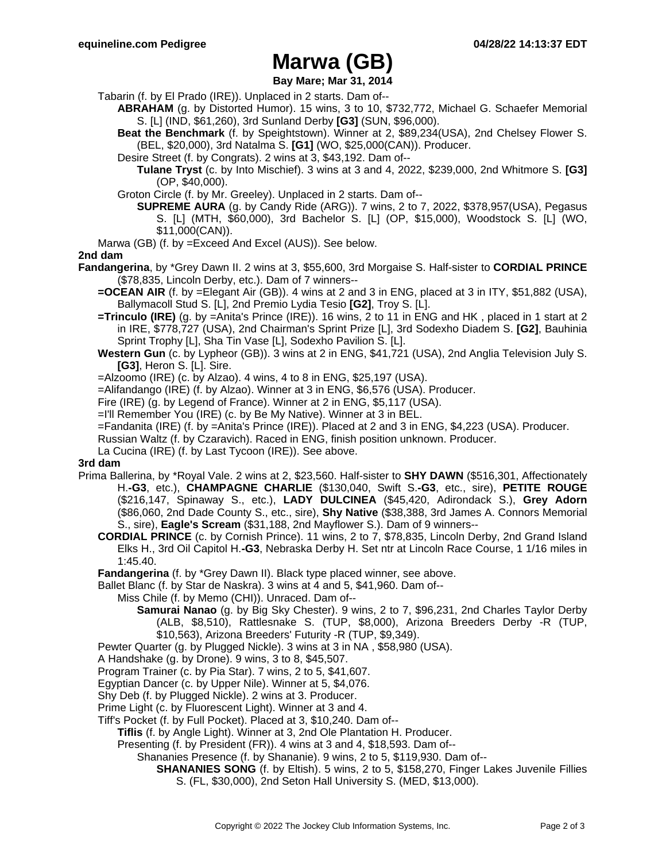# **Marwa (GB)**

**Bay Mare; Mar 31, 2014**

- Tabarin (f. by El Prado (IRE)). Unplaced in 2 starts. Dam of--
	- **ABRAHAM** (g. by Distorted Humor). 15 wins, 3 to 10, \$732,772, Michael G. Schaefer Memorial S. [L] (IND, \$61,260), 3rd Sunland Derby **[G3]** (SUN, \$96,000).

**Beat the Benchmark** (f. by Speightstown). Winner at 2, \$89,234(USA), 2nd Chelsey Flower S. (BEL, \$20,000), 3rd Natalma S. **[G1]** (WO, \$25,000(CAN)). Producer.

Desire Street (f. by Congrats). 2 wins at 3, \$43,192. Dam of--

**Tulane Tryst** (c. by Into Mischief). 3 wins at 3 and 4, 2022, \$239,000, 2nd Whitmore S. **[G3]** (OP, \$40,000).

- Groton Circle (f. by Mr. Greeley). Unplaced in 2 starts. Dam of--
	- **SUPREME AURA** (g. by Candy Ride (ARG)). 7 wins, 2 to 7, 2022, \$378,957(USA), Pegasus S. [L] (MTH, \$60,000), 3rd Bachelor S. [L] (OP, \$15,000), Woodstock S. [L] (WO, \$11,000(CAN)).
- Marwa (GB) (f. by =Exceed And Excel (AUS)). See below.

### **2nd dam**

- **Fandangerina**, by \*Grey Dawn II. 2 wins at 3, \$55,600, 3rd Morgaise S. Half-sister to **CORDIAL PRINCE** (\$78,835, Lincoln Derby, etc.). Dam of 7 winners--
	- **=OCEAN AIR** (f. by =Elegant Air (GB)). 4 wins at 2 and 3 in ENG, placed at 3 in ITY, \$51,882 (USA), Ballymacoll Stud S. [L], 2nd Premio Lydia Tesio **[G2]**, Troy S. [L].
	- **=Trinculo (IRE)** (g. by =Anita's Prince (IRE)). 16 wins, 2 to 11 in ENG and HK , placed in 1 start at 2 in IRE, \$778,727 (USA), 2nd Chairman's Sprint Prize [L], 3rd Sodexho Diadem S. **[G2]**, Bauhinia Sprint Trophy [L], Sha Tin Vase [L], Sodexho Pavilion S. [L].
	- **Western Gun** (c. by Lypheor (GB)). 3 wins at 2 in ENG, \$41,721 (USA), 2nd Anglia Television July S. **[G3]**, Heron S. [L]. Sire.
	- =Alzoomo (IRE) (c. by Alzao). 4 wins, 4 to 8 in ENG, \$25,197 (USA).
	- =Alifandango (IRE) (f. by Alzao). Winner at 3 in ENG, \$6,576 (USA). Producer.
	- Fire (IRE) (g. by Legend of France). Winner at 2 in ENG, \$5,117 (USA).
	- =I'll Remember You (IRE) (c. by Be My Native). Winner at 3 in BEL.
	- =Fandanita (IRE) (f. by =Anita's Prince (IRE)). Placed at 2 and 3 in ENG, \$4,223 (USA). Producer.
	- Russian Waltz (f. by Czaravich). Raced in ENG, finish position unknown. Producer.
	- La Cucina (IRE) (f. by Last Tycoon (IRE)). See above.

### **3rd dam**

- Prima Ballerina, by \*Royal Vale. 2 wins at 2, \$23,560. Half-sister to **SHY DAWN** (\$516,301, Affectionately H.**-G3**, etc.), **CHAMPAGNE CHARLIE** (\$130,040, Swift S.**-G3**, etc., sire), **PETITE ROUGE** (\$216,147, Spinaway S., etc.), **LADY DULCINEA** (\$45,420, Adirondack S.), **Grey Adorn** (\$86,060, 2nd Dade County S., etc., sire), **Shy Native** (\$38,388, 3rd James A. Connors Memorial S., sire), **Eagle's Scream** (\$31,188, 2nd Mayflower S.). Dam of 9 winners--
	- **CORDIAL PRINCE** (c. by Cornish Prince). 11 wins, 2 to 7, \$78,835, Lincoln Derby, 2nd Grand Island Elks H., 3rd Oil Capitol H.**-G3**, Nebraska Derby H. Set ntr at Lincoln Race Course, 1 1/16 miles in 1:45.40.
	- **Fandangerina** (f. by \*Grey Dawn II). Black type placed winner, see above.
	- Ballet Blanc (f. by Star de Naskra). 3 wins at 4 and 5, \$41,960. Dam of--
		- Miss Chile (f. by Memo (CHI)). Unraced. Dam of--
			- **Samurai Nanao** (g. by Big Sky Chester). 9 wins, 2 to 7, \$96,231, 2nd Charles Taylor Derby (ALB, \$8,510), Rattlesnake S. (TUP, \$8,000), Arizona Breeders Derby -R (TUP, \$10,563), Arizona Breeders' Futurity -R (TUP, \$9,349).
	- Pewter Quarter (g. by Plugged Nickle). 3 wins at 3 in NA , \$58,980 (USA).
	- A Handshake (g. by Drone). 9 wins, 3 to 8, \$45,507.
	- Program Trainer (c. by Pia Star). 7 wins, 2 to 5, \$41,607.
	- Egyptian Dancer (c. by Upper Nile). Winner at 5, \$4,076.
	- Shy Deb (f. by Plugged Nickle). 2 wins at 3. Producer.
	- Prime Light (c. by Fluorescent Light). Winner at 3 and 4.
	- Tiff's Pocket (f. by Full Pocket). Placed at 3, \$10,240. Dam of--
		- **Tiflis** (f. by Angle Light). Winner at 3, 2nd Ole Plantation H. Producer.
		- Presenting (f. by President (FR)). 4 wins at 3 and 4, \$18,593. Dam of--
			- Shananies Presence (f. by Shananie). 9 wins, 2 to 5, \$119,930. Dam of--
				- **SHANANIES SONG** (f. by Eltish). 5 wins, 2 to 5, \$158,270, Finger Lakes Juvenile Fillies S. (FL, \$30,000), 2nd Seton Hall University S. (MED, \$13,000).